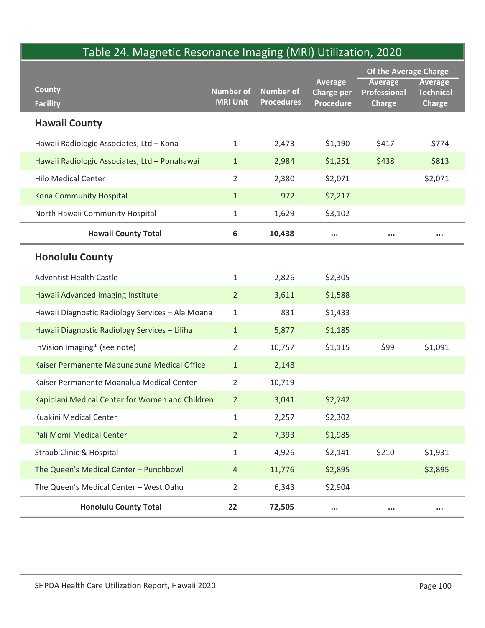## Table 24. Magnetic Resonance Imaging (MRI) Utilization, 2020

|                                                  |                                     | Table 24. Magnetic Resonance Imaging (MRI) Utilization, 2020 |                                                  | Of the Average Charge                           |                                                     |
|--------------------------------------------------|-------------------------------------|--------------------------------------------------------------|--------------------------------------------------|-------------------------------------------------|-----------------------------------------------------|
| <b>County</b><br><b>Facility</b>                 | <b>Number of</b><br><b>MRI Unit</b> | <b>Number of</b><br><b>Procedures</b>                        | Average<br><b>Charge per</b><br><b>Procedure</b> | <b>Average</b><br>Professional<br><b>Charge</b> | <b>Average</b><br><b>Technical</b><br><b>Charge</b> |
| <b>Hawaii County</b>                             |                                     |                                                              |                                                  |                                                 |                                                     |
| Hawaii Radiologic Associates, Ltd - Kona         | $\mathbf{1}$                        | 2,473                                                        | \$1,190                                          | \$417                                           | \$774                                               |
| Hawaii Radiologic Associates, Ltd - Ponahawai    | $\mathbf{1}$                        | 2,984                                                        | \$1,251                                          | \$438                                           | \$813                                               |
| <b>Hilo Medical Center</b>                       | $\overline{2}$                      | 2,380                                                        | \$2,071                                          |                                                 | \$2,071                                             |
| <b>Kona Community Hospital</b>                   | $\mathbf{1}$                        | 972                                                          | \$2,217                                          |                                                 |                                                     |
| North Hawaii Community Hospital                  | $\mathbf{1}$                        | 1,629                                                        | \$3,102                                          |                                                 |                                                     |
| <b>Hawaii County Total</b>                       | 6                                   | 10,438                                                       | $\cdots$                                         | $\cdots$                                        | $\cdots$                                            |
| <b>Honolulu County</b>                           |                                     |                                                              |                                                  |                                                 |                                                     |
| <b>Adventist Health Castle</b>                   | $\mathbf{1}$                        | 2,826                                                        | \$2,305                                          |                                                 |                                                     |
| Hawaii Advanced Imaging Institute                | $\overline{2}$                      | 3,611                                                        | \$1,588                                          |                                                 |                                                     |
| Hawaii Diagnostic Radiology Services - Ala Moana | $\mathbf{1}$                        | 831                                                          | \$1,433                                          |                                                 |                                                     |
| Hawaii Diagnostic Radiology Services - Liliha    | $\mathbf{1}$                        | 5,877                                                        | \$1,185                                          |                                                 |                                                     |
| InVision Imaging* (see note)                     | $\overline{2}$                      | 10,757                                                       | \$1,115                                          | \$99                                            | \$1,091                                             |
| Kaiser Permanente Mapunapuna Medical Office      | $\mathbf{1}$                        | 2,148                                                        |                                                  |                                                 |                                                     |
| Kaiser Permanente Moanalua Medical Center        | $\overline{2}$                      | 10,719                                                       |                                                  |                                                 |                                                     |
| Kapiolani Medical Center for Women and Children  | $\overline{2}$                      | 3,041                                                        | \$2,742                                          |                                                 |                                                     |
| Kuakini Medical Center                           | $\mathbf{1}$                        | 2,257                                                        | \$2,302                                          |                                                 |                                                     |
| Pali Momi Medical Center                         | $\overline{2}$                      | 7,393                                                        | \$1,985                                          |                                                 |                                                     |
| Straub Clinic & Hospital                         | $\mathbf{1}$                        | 4,926                                                        | \$2,141                                          | \$210                                           | \$1,931                                             |
| The Queen's Medical Center - Punchbowl           | $\overline{4}$                      | 11,776                                                       | \$2,895                                          |                                                 | \$2,895                                             |
| The Queen's Medical Center - West Oahu           | $\overline{2}$                      | 6,343                                                        | \$2,904                                          |                                                 |                                                     |
| <b>Honolulu County Total</b>                     | 22                                  | 72,505                                                       | $\cdots$                                         | $\cdots$                                        | $\cdots$                                            |